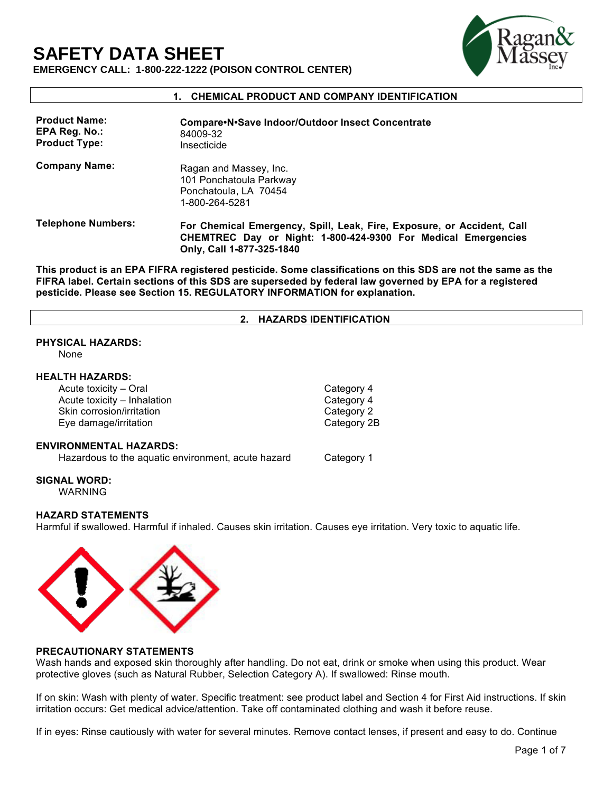# **SAFETY DATA SHEET**



**EMERGENCY CALL: 1-800-222-1222 (POISON CONTROL CENTER)** 

# **1. CHEMICAL PRODUCT AND COMPANY IDENTIFICATION**

| <b>Product Name:</b><br>EPA Reg. No.:<br><b>Product Type:</b> | Compare N.Save Indoor/Outdoor Insect Concentrate<br>84009-32<br>Insecticide                                                                                          |
|---------------------------------------------------------------|----------------------------------------------------------------------------------------------------------------------------------------------------------------------|
| <b>Company Name:</b>                                          | Ragan and Massey, Inc.<br>101 Ponchatoula Parkway<br>Ponchatoula, LA 70454<br>1-800-264-5281                                                                         |
| <b>Telephone Numbers:</b>                                     | For Chemical Emergency, Spill, Leak, Fire, Exposure, or Accident, Call<br>CHEMTREC Day or Night: 1-800-424-9300 For Medical Emergencies<br>Only, Call 1-877-325-1840 |

**This product is an EPA FIFRA registered pesticide. Some classifications on this SDS are not the same as the FIFRA label. Certain sections of this SDS are superseded by federal law governed by EPA for a registered pesticide. Please see Section 15. REGULATORY INFORMATION for explanation.**

#### **2. HAZARDS IDENTIFICATION**

# **PHYSICAL HAZARDS:**

None

#### **HEALTH HAZARDS:**

| Acute toxicity - Oral                              | Category 4  |
|----------------------------------------------------|-------------|
| Acute toxicity - Inhalation                        | Category 4  |
| Skin corrosion/irritation                          | Category 2  |
| Eye damage/irritation                              | Category 2B |
| <b>ENVIRONMENTAL HAZARDS:</b>                      |             |
| Hazardous to the aquatic environment, acute hazard | Category 1  |

**SIGNAL WORD:**

WARNING

#### **HAZARD STATEMENTS**

Harmful if swallowed. Harmful if inhaled. Causes skin irritation. Causes eye irritation. Very toxic to aquatic life.



#### **PRECAUTIONARY STATEMENTS**

Wash hands and exposed skin thoroughly after handling. Do not eat, drink or smoke when using this product. Wear protective gloves (such as Natural Rubber, Selection Category A). If swallowed: Rinse mouth.

If on skin: Wash with plenty of water. Specific treatment: see product label and Section 4 for First Aid instructions. If skin irritation occurs: Get medical advice/attention. Take off contaminated clothing and wash it before reuse.

If in eyes: Rinse cautiously with water for several minutes. Remove contact lenses, if present and easy to do. Continue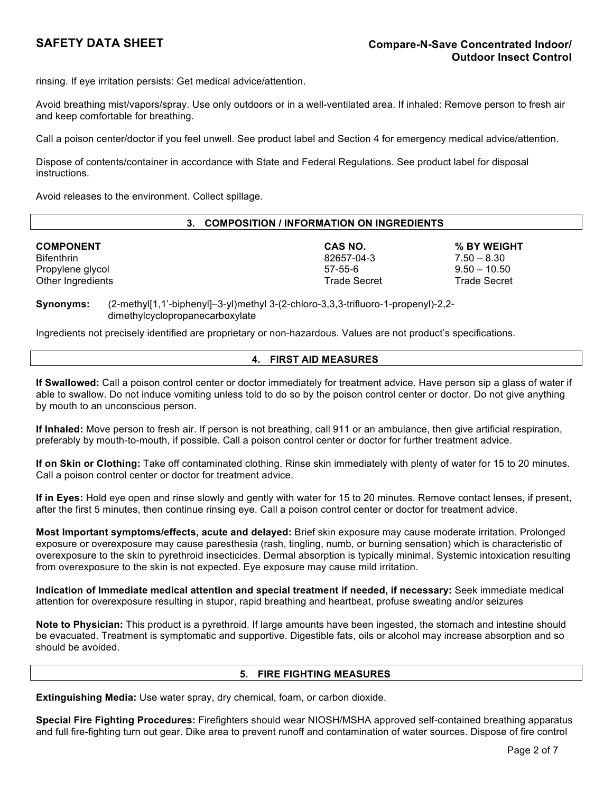rinsing. If eye irritation persists: Get medical advice/attention.

Avoid breathing mist/vapors/spray. Use only outdoors or in a well-ventilated area. If inhaled: Remove person to fresh air and keep comfortable for breathing.

Call a poison center/doctor if you feel unwell. See product label and Section 4 for emergency medical advice/attention.

Dispose of contents/container in accordance with State and Federal Regulations. See product label for disposal instructions.

Avoid releases to the environment. Collect spillage.

| <b>COMPOSITION / INFORMATION ON INGREDIENTS</b><br>3. |                     |                     |  |
|-------------------------------------------------------|---------------------|---------------------|--|
| <b>COMPONENT</b>                                      | CAS NO.             | % BY WEIGHT         |  |
| <b>Bifenthrin</b>                                     | 82657-04-3          | $7.50 - 8.30$       |  |
| Propylene glycol                                      | 57-55-6             | $9.50 - 10.50$      |  |
| Other Ingredients                                     | <b>Trade Secret</b> | <b>Trade Secret</b> |  |

**Synonyms:** (2-methyl[1,1'-biphenyl]–3-yl)methyl 3-(2-chloro-3,3,3-trifluoro-1-propenyl)-2,2 dimethylcyclopropanecarboxylate

Ingredients not precisely identified are proprietary or non-hazardous. Values are not product's specifications.

# **4. FIRST AID MEASURES**

**If Swallowed:** Call a poison control center or doctor immediately for treatment advice. Have person sip a glass of water if able to swallow. Do not induce vomiting unless told to do so by the poison control center or doctor. Do not give anything by mouth to an unconscious person.

**If Inhaled:** Move person to fresh air. If person is not breathing, call 911 or an ambulance, then give artificial respiration, preferably by mouth-to-mouth, if possible. Call a poison control center or doctor for further treatment advice.

**If on Skin or Clothing:** Take off contaminated clothing. Rinse skin immediately with plenty of water for 15 to 20 minutes. Call a poison control center or doctor for treatment advice.

**If in Eyes:** Hold eye open and rinse slowly and gently with water for 15 to 20 minutes. Remove contact lenses, if present, after the first 5 minutes, then continue rinsing eye. Call a poison control center or doctor for treatment advice.

**Most Important symptoms/effects, acute and delayed:** Brief skin exposure may cause moderate irritation. Prolonged exposure or overexposure may cause paresthesia (rash, tingling, numb, or burning sensation) which is characteristic of overexposure to the skin to pyrethroid insecticides. Dermal absorption is typically minimal. Systemic intoxication resulting from overexposure to the skin is not expected. Eye exposure may cause mild irritation.

**Indication of Immediate medical attention and special treatment if needed, if necessary:** Seek immediate medical attention for overexposure resulting in stupor, rapid breathing and heartbeat, profuse sweating and/or seizures

**Note to Physician:** This product is a pyrethroid. If large amounts have been ingested, the stomach and intestine should be evacuated. Treatment is symptomatic and supportive. Digestible fats, oils or alcohol may increase absorption and so should be avoided.

# **5. FIRE FIGHTING MEASURES**

**Extinguishing Media:** Use water spray, dry chemical, foam, or carbon dioxide.

**Special Fire Fighting Procedures:** Firefighters should wear NIOSH/MSHA approved self-contained breathing apparatus and full fire-fighting turn out gear. Dike area to prevent runoff and contamination of water sources. Dispose of fire control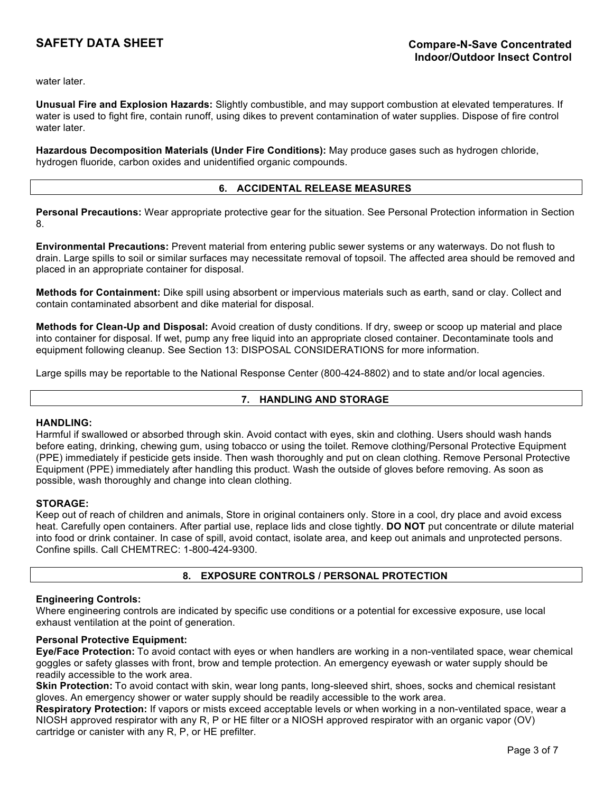water later.

**Unusual Fire and Explosion Hazards:** Slightly combustible, and may support combustion at elevated temperatures. If water is used to fight fire, contain runoff, using dikes to prevent contamination of water supplies. Dispose of fire control water later.

**Hazardous Decomposition Materials (Under Fire Conditions):** May produce gases such as hydrogen chloride, hydrogen fluoride, carbon oxides and unidentified organic compounds.

#### **6. ACCIDENTAL RELEASE MEASURES**

**Personal Precautions:** Wear appropriate protective gear for the situation. See Personal Protection information in Section 8.

**Environmental Precautions:** Prevent material from entering public sewer systems or any waterways. Do not flush to drain. Large spills to soil or similar surfaces may necessitate removal of topsoil. The affected area should be removed and placed in an appropriate container for disposal.

**Methods for Containment:** Dike spill using absorbent or impervious materials such as earth, sand or clay. Collect and contain contaminated absorbent and dike material for disposal.

**Methods for Clean-Up and Disposal:** Avoid creation of dusty conditions. If dry, sweep or scoop up material and place into container for disposal. If wet, pump any free liquid into an appropriate closed container. Decontaminate tools and equipment following cleanup. See Section 13: DISPOSAL CONSIDERATIONS for more information.

Large spills may be reportable to the National Response Center (800-424-8802) and to state and/or local agencies.

#### **7. HANDLING AND STORAGE**

#### **HANDLING:**

Harmful if swallowed or absorbed through skin. Avoid contact with eyes, skin and clothing. Users should wash hands before eating, drinking, chewing gum, using tobacco or using the toilet. Remove clothing/Personal Protective Equipment (PPE) immediately if pesticide gets inside. Then wash thoroughly and put on clean clothing. Remove Personal Protective Equipment (PPE) immediately after handling this product. Wash the outside of gloves before removing. As soon as possible, wash thoroughly and change into clean clothing.

#### **STORAGE:**

Keep out of reach of children and animals, Store in original containers only. Store in a cool, dry place and avoid excess heat. Carefully open containers. After partial use, replace lids and close tightly. **DO NOT** put concentrate or dilute material into food or drink container. In case of spill, avoid contact, isolate area, and keep out animals and unprotected persons. Confine spills. Call CHEMTREC: 1-800-424-9300.

# **8. EXPOSURE CONTROLS / PERSONAL PROTECTION**

#### **Engineering Controls:**

Where engineering controls are indicated by specific use conditions or a potential for excessive exposure, use local exhaust ventilation at the point of generation.

# **Personal Protective Equipment:**

**Eye/Face Protection:** To avoid contact with eyes or when handlers are working in a non-ventilated space, wear chemical goggles or safety glasses with front, brow and temple protection. An emergency eyewash or water supply should be readily accessible to the work area.

**Skin Protection:** To avoid contact with skin, wear long pants, long-sleeved shirt, shoes, socks and chemical resistant gloves. An emergency shower or water supply should be readily accessible to the work area.

**Respiratory Protection:** If vapors or mists exceed acceptable levels or when working in a non-ventilated space, wear a NIOSH approved respirator with any R, P or HE filter or a NIOSH approved respirator with an organic vapor (OV) cartridge or canister with any R, P, or HE prefilter.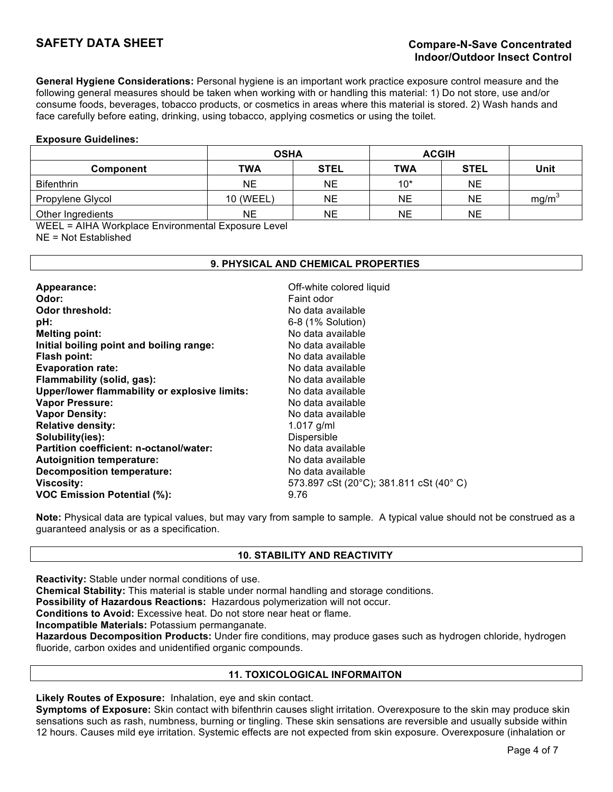**General Hygiene Considerations:** Personal hygiene is an important work practice exposure control measure and the following general measures should be taken when working with or handling this material: 1) Do not store, use and/or consume foods, beverages, tobacco products, or cosmetics in areas where this material is stored. 2) Wash hands and face carefully before eating, drinking, using tobacco, applying cosmetics or using the toilet.

#### **Exposure Guidelines:**

|                   | <b>OSHA</b> |             | <b>ACGIH</b> |             |                   |  |
|-------------------|-------------|-------------|--------------|-------------|-------------------|--|
| <b>Component</b>  | <b>TWA</b>  | <b>STEL</b> | <b>TWA</b>   | <b>STEL</b> | Unit              |  |
| <b>Bifenthrin</b> | NE          | <b>NE</b>   | $10*$        | NE          |                   |  |
| Propylene Glycol  | 10 (WEEL)   | <b>NE</b>   | NE           | NE          | mg/m <sup>3</sup> |  |
| Other Ingredients | NE          | <b>NE</b>   | NE           | <b>NE</b>   |                   |  |

WEEL = AIHA Workplace Environmental Exposure Level

NE = Not Established

# **9. PHYSICAL AND CHEMICAL PROPERTIES**

| Appearance:                                   | Off-white colored liquid               |
|-----------------------------------------------|----------------------------------------|
| Odor:                                         | Faint odor                             |
| Odor threshold:                               | No data available                      |
| pH:                                           | 6-8 (1% Solution)                      |
| <b>Melting point:</b>                         | No data available                      |
| Initial boiling point and boiling range:      | No data available                      |
| Flash point:                                  | No data available                      |
| <b>Evaporation rate:</b>                      | No data available                      |
| Flammability (solid, gas):                    | No data available                      |
| Upper/lower flammability or explosive limits: | No data available                      |
| <b>Vapor Pressure:</b>                        | No data available                      |
| <b>Vapor Density:</b>                         | No data available                      |
| <b>Relative density:</b>                      | 1.017 $g/ml$                           |
| Solubility(ies):                              | Dispersible                            |
| Partition coefficient: n-octanol/water:       | No data available                      |
| <b>Autoignition temperature:</b>              | No data available                      |
| <b>Decomposition temperature:</b>             | No data available                      |
| <b>Viscosity:</b>                             | 573.897 cSt (20°C); 381.811 cSt (40°C) |
| <b>VOC Emission Potential (%):</b>            | 9.76                                   |

**Note:** Physical data are typical values, but may vary from sample to sample. A typical value should not be construed as a guaranteed analysis or as a specification.

# **10. STABILITY AND REACTIVITY**

**Reactivity:** Stable under normal conditions of use.

**Chemical Stability:** This material is stable under normal handling and storage conditions.

**Possibility of Hazardous Reactions:** Hazardous polymerization will not occur.

**Conditions to Avoid:** Excessive heat. Do not store near heat or flame.

**Incompatible Materials:** Potassium permanganate.

**Hazardous Decomposition Products:** Under fire conditions, may produce gases such as hydrogen chloride, hydrogen fluoride, carbon oxides and unidentified organic compounds.

# **11. TOXICOLOGICAL INFORMAITON**

**Likely Routes of Exposure:** Inhalation, eye and skin contact.

**Symptoms of Exposure:** Skin contact with bifenthrin causes slight irritation. Overexposure to the skin may produce skin sensations such as rash, numbness, burning or tingling. These skin sensations are reversible and usually subside within 12 hours. Causes mild eye irritation. Systemic effects are not expected from skin exposure. Overexposure (inhalation or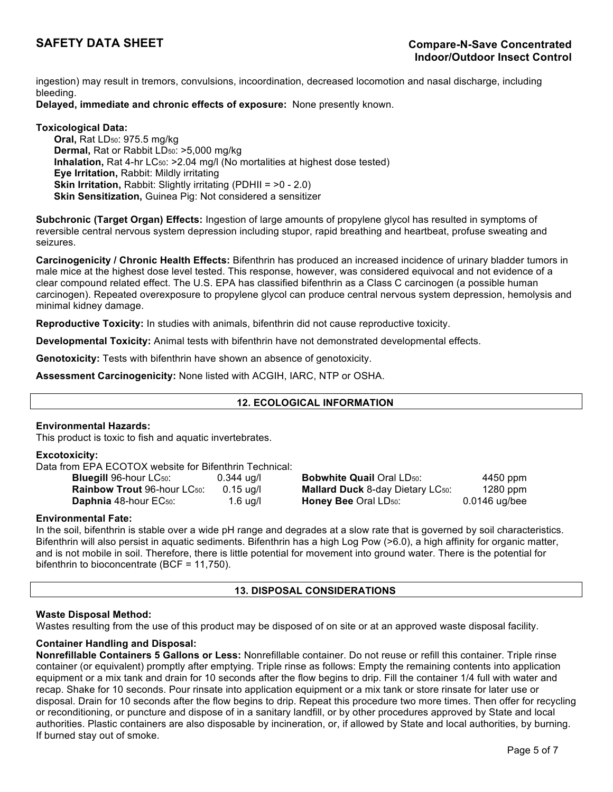ingestion) may result in tremors, convulsions, incoordination, decreased locomotion and nasal discharge, including bleeding.

# **Delayed, immediate and chronic effects of exposure:** None presently known.

# **Toxicological Data:**

**Oral, Rat LD<sub>50</sub>: 975.5 mg/kg Dermal, Rat or Rabbit LD<sub>50</sub>: >5,000 mg/kg Inhalation, Rat 4-hr LC<sub>50</sub>: >2.04 mg/l (No mortalities at highest dose tested) Eye Irritation,** Rabbit: Mildly irritating **Skin Irritation, Rabbit: Slightly irritating (PDHII =**  $>0$  **- 2.0) Skin Sensitization,** Guinea Pig: Not considered a sensitizer

**Subchronic (Target Organ) Effects:** Ingestion of large amounts of propylene glycol has resulted in symptoms of reversible central nervous system depression including stupor, rapid breathing and heartbeat, profuse sweating and seizures.

**Carcinogenicity / Chronic Health Effects:** Bifenthrin has produced an increased incidence of urinary bladder tumors in male mice at the highest dose level tested. This response, however, was considered equivocal and not evidence of a clear compound related effect. The U.S. EPA has classified bifenthrin as a Class C carcinogen (a possible human carcinogen). Repeated overexposure to propylene glycol can produce central nervous system depression, hemolysis and minimal kidney damage.

**Reproductive Toxicity:** In studies with animals, bifenthrin did not cause reproductive toxicity.

**Developmental Toxicity:** Animal tests with bifenthrin have not demonstrated developmental effects.

**Genotoxicity:** Tests with bifenthrin have shown an absence of genotoxicity.

**Assessment Carcinogenicity:** None listed with ACGIH, IARC, NTP or OSHA.

# **12. ECOLOGICAL INFORMATION**

# **Environmental Hazards:**

This product is toxic to fish and aquatic invertebrates.

#### **Excotoxicity:**

Data from EPA ECOTOX website for Bifenthrin Technical:

| <b>Bluegill 96-hour LC50:</b>             | $0.344$ ug/l |
|-------------------------------------------|--------------|
| <b>Rainbow Trout</b> 96-hour LC50:        | $0.15$ ug/l  |
| <b>Daphnia</b> 48-hour EC <sub>50</sub> : | $1.6$ ug/l   |

**Bluegill** 96-hour LC50: 0.344 ug/l **Bobwhite Quail** Oral LD50: 4450 ppm **Rainbow Trout 96-hour LC<sub>50</sub>: 0.15 ug/l Mallard Duck 8-day Dietary LC<sub>50</sub>: 1280 ppm Daphnia** 48-hour EC<sub>50</sub>: 1.6 ug/l **Honey Bee** Oral LD<sub>50</sub>: 0.0146 ug/bee

# **Environmental Fate:**

In the soil, bifenthrin is stable over a wide pH range and degrades at a slow rate that is governed by soil characteristics. Bifenthrin will also persist in aquatic sediments. Bifenthrin has a high Log Pow (>6.0), a high affinity for organic matter, and is not mobile in soil. Therefore, there is little potential for movement into ground water. There is the potential for bifenthrin to bioconcentrate (BCF = 11,750).

# **13. DISPOSAL CONSIDERATIONS**

#### **Waste Disposal Method:**

Wastes resulting from the use of this product may be disposed of on site or at an approved waste disposal facility.

# **Container Handling and Disposal:**

**Nonrefillable Containers 5 Gallons or Less:** Nonrefillable container. Do not reuse or refill this container. Triple rinse container (or equivalent) promptly after emptying. Triple rinse as follows: Empty the remaining contents into application equipment or a mix tank and drain for 10 seconds after the flow begins to drip. Fill the container 1/4 full with water and recap. Shake for 10 seconds. Pour rinsate into application equipment or a mix tank or store rinsate for later use or disposal. Drain for 10 seconds after the flow begins to drip. Repeat this procedure two more times. Then offer for recycling or reconditioning, or puncture and dispose of in a sanitary landfill, or by other procedures approved by State and local authorities. Plastic containers are also disposable by incineration, or, if allowed by State and local authorities, by burning. If burned stay out of smoke.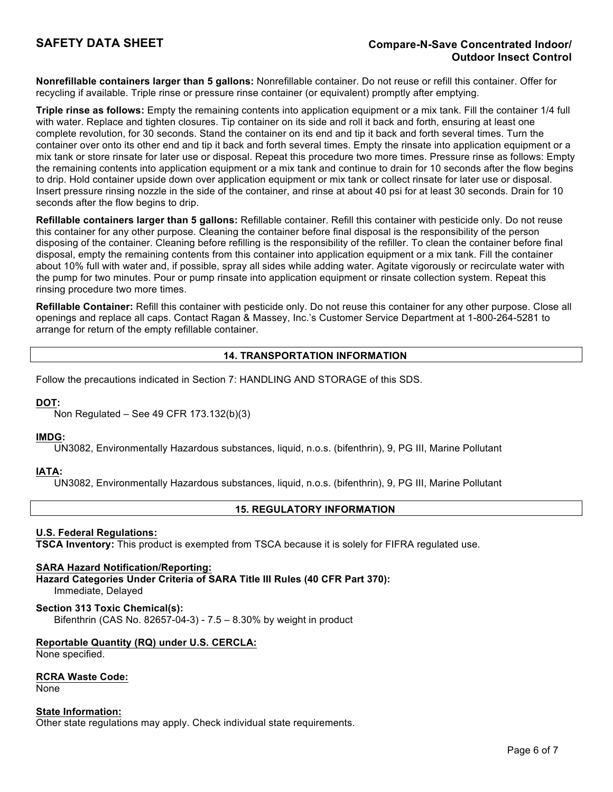# **SAFETY DATA SHEET Compare-N-Save Concentrated Indoor/ Outdoor Insect Control**

**Nonrefillable containers larger than 5 gallons:** Nonrefillable container. Do not reuse or refill this container. Offer for recycling if available. Triple rinse or pressure rinse container (or equivalent) promptly after emptying.

**Triple rinse as follows:** Empty the remaining contents into application equipment or a mix tank. Fill the container 1/4 full with water. Replace and tighten closures. Tip container on its side and roll it back and forth, ensuring at least one complete revolution, for 30 seconds. Stand the container on its end and tip it back and forth several times. Turn the container over onto its other end and tip it back and forth several times. Empty the rinsate into application equipment or a mix tank or store rinsate for later use or disposal. Repeat this procedure two more times. Pressure rinse as follows: Empty the remaining contents into application equipment or a mix tank and continue to drain for 10 seconds after the flow begins to drip. Hold container upside down over application equipment or mix tank or collect rinsate for later use or disposal. Insert pressure rinsing nozzle in the side of the container, and rinse at about 40 psi for at least 30 seconds. Drain for 10 seconds after the flow begins to drip.

**Refillable containers larger than 5 gallons:** Refillable container. Refill this container with pesticide only. Do not reuse this container for any other purpose. Cleaning the container before final disposal is the responsibility of the person disposing of the container. Cleaning before refilling is the responsibility of the refiller. To clean the container before final disposal, empty the remaining contents from this container into application equipment or a mix tank. Fill the container about 10% full with water and, if possible, spray all sides while adding water. Agitate vigorously or recirculate water with the pump for two minutes. Pour or pump rinsate into application equipment or rinsate collection system. Repeat this rinsing procedure two more times.

**Refillable Container:** Refill this container with pesticide only. Do not reuse this container for any other purpose. Close all openings and replace all caps. Contact Ragan & Massey, Inc.'s Customer Service Department at 1-800-264-5281 to arrange for return of the empty refillable container.

# **14. TRANSPORTATION INFORMATION**

Follow the precautions indicated in Section 7: HANDLING AND STORAGE of this SDS.

# **DOT:**

Non Regulated – See 49 CFR 173.132(b)(3)

# **IMDG:**

UN3082, Environmentally Hazardous substances, liquid, n.o.s. (bifenthrin), 9, PG III, Marine Pollutant

# **IATA:**

UN3082, Environmentally Hazardous substances, liquid, n.o.s. (bifenthrin), 9, PG III, Marine Pollutant

# **15. REGULATORY INFORMATION**

#### **U.S. Federal Regulations:**

**TSCA Inventory:** This product is exempted from TSCA because it is solely for FIFRA regulated use.

#### **SARA Hazard Notification/Reporting:**

**Hazard Categories Under Criteria of SARA Title III Rules (40 CFR Part 370):** Immediate, Delayed

#### **Section 313 Toxic Chemical(s):**

Bifenthrin (CAS No. 82657-04-3) - 7.5 – 8.30% by weight in product

#### **Reportable Quantity (RQ) under U.S. CERCLA:**

None specified.

#### **RCRA Waste Code:**

None

#### **State Information:**

Other state regulations may apply. Check individual state requirements.